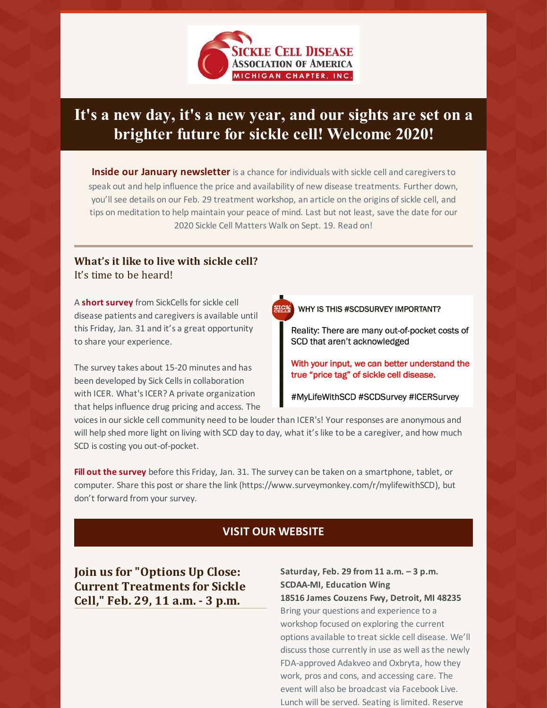

## **It's a new day, it's a new year, and our sights are set on a brighter future for sickle cell! Welcome 2020!**

**Inside our January newsletter** is a chance for individuals with sickle cell and caregiversto speak out and help influence the price and availability of new disease treatments. Further down, you'll see details on our Feb. 29 treatment workshop, an article on the origins of sickle cell, and tips on meditation to help maintain your peace of mind. Last but not least, save the date for our 2020 Sickle Cell Matters Walk on Sept. 19. Read on!

# **What's it like to live with sickle cell?**

It's time to be heard!

A **short [survey](https://www.surveymonkey.com/r/mylifewithSCD)** from SickCellsfor sickle cell disease patients and caregivers is available until this Friday, Jan. 31 and it's a great opportunity to share your experience.

The survey takes about 15-20 minutes and has been developed by Sick Cells in collaboration with ICER. What's ICER? A private organization that helps influence drug pricing and access. The WHY IS THIS #SCDSURVEY IMPORTANT?

Reality: There are many out-of-pocket costs of SCD that aren't acknowledged

With your input, we can better understand the true "price tag" of sickle cell disease.

#MyLifeWithSCD #SCDSurvey #ICERSurvey

voicesin our sickle cell community need to be louder than ICER's! Your responses are anonymous and will help shed more light on living with SCD day to day, what it's like to be a caregiver, and how much SCD is costing you out-of-pocket.

**Fill out the [survey](https://www.surveymonkey.com/r/mylifewithSCD)** before this Friday, Jan. 31. The survey can be taken on a smartphone, tablet, or computer. Share this post or share the link (https://www.surveymonkey.com/r/mylifewithSCD), but don't forward from your survey.

#### **VISIT OUR [WEBSITE](https://www.scdaami.org/)**

**Join us for "Options Up Close: Current Treatments for Sickle Cell," Feb. 29, 11 a.m. - 3 p.m.**

**Saturday, Feb. 29 from 11 a.m. – 3 p.m. SCDAA-MI, Education Wing 18516 James Couzens Fwy, Detroit, MI 48235** Bring your questions and experience to a workshop focused on exploring the current options available to treat sickle cell disease. We'll discussthose currently in use as well asthe newly FDA-approved Adakveo and Oxbryta, how they work, pros and cons, and accessing care. The event will also be broadcast via Facebook Live. Lunch will be served. Seating is limited. Reserve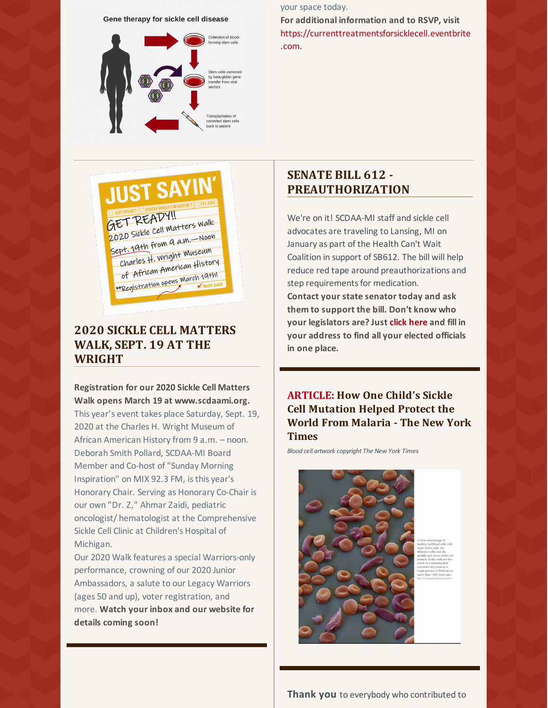#### Gene therapy for sickle cell disease



your space today.

**For additional [information](https://currenttreatmentsforsicklecell.eventbrite.com.) and to RSVP, visit** https://currenttreatmentsforsicklecell.eventbrite .com.

# **SENATE BILL 612 - PREAUTHORIZATION**

We're on it! SCDAA-MI staff and sickle cell advocates are traveling to Lansing, MI on January as part of the Health Can't Wait Coalition in support of SB612. The bill will help reduce red tape around preauthorizations and step requirements for medication. **Contact your state senator today and ask them to support the bill. Don't know who your legislators are? [Just](https://www.commoncause.org/find-your-representative/addr/) click [here](https://www.commoncause.org/find-your-representative/addr/) and fill in your address to find all your elected officials in one place.**

### **[ARTICLE:](https://www.nytimes.com/2018/03/08/health/sickle-cell-mutation.html) How One Child's Sickle Cell Mutation Helped Protect the World From Malaria - The New York Times**

*Blood cell artwork copyright The New York Times*





## **2020 SICKLE CELL MATTERS WALK, SEPT. 19 AT THE WRIGHT**

#### **Registration for our 2020 Sickle Cell Matters Walk opens March 19 at www.scdaami.org.**

This year's event takes place Saturday, Sept. 19, 2020 at the Charles H. Wright Museum of African American History from 9 a.m. – noon. Deborah Smith Pollard, SCDAA-MI Board Member and Co-host of"Sunday Morning Inspiration" on MIX 92.3 FM, isthis year's Honorary Chair. Serving as Honorary Co-Chair is our own "Dr. Z," Ahmar Zaidi, pediatric oncologist/ hematologist at the Comprehensive Sickle Cell Clinic at Children's Hospital of Michigan.

Our 2020 Walk features a special Warriors-only performance, crowning of our 2020 Junior Ambassadors, a salute to our Legacy Warriors (ages 50 and up), voter registration, and more. **Watch your inbox and our website for details coming soon!**

**Thank you** to everybody who contributed to